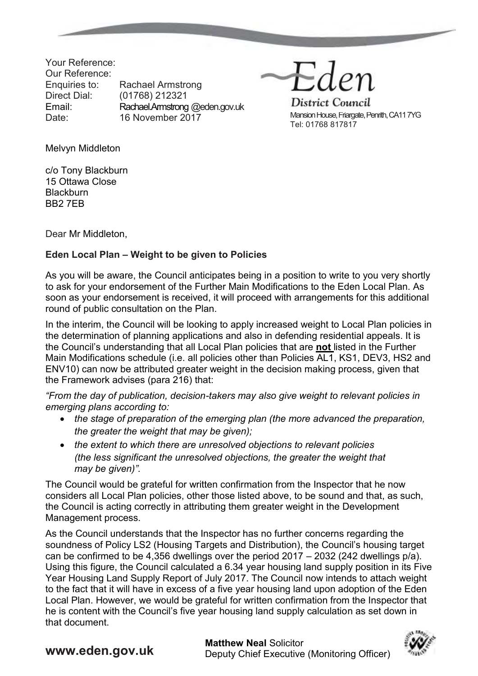Your Reference: Our Reference: Enquiries to: Rachael Armstrong Direct Dial: (01768) 212321 Email: Rachael.Armstrong @eden.gov.uk Date: 16 November 2017

Eden District Council

Mansion House, Friargate, Penrith, CA11 7YG Tel: 01768 817817

Melvyn Middleton

c/o Tony Blackburn 15 Ottawa Close **Blackburn** BB2 7EB

Dear Mr Middleton,

## **Eden Local Plan – Weight to be given to Policies**

As you will be aware, the Council anticipates being in a position to write to you very shortly to ask for your endorsement of the Further Main Modifications to the Eden Local Plan. As soon as your endorsement is received, it will proceed with arrangements for this additional round of public consultation on the Plan.

In the interim, the Council will be looking to apply increased weight to Local Plan policies in the determination of planning applications and also in defending residential appeals. It is the Council's understanding that all Local Plan policies that are **not** listed in the Further Main Modifications schedule (i.e. all policies other than Policies AL1, KS1, DEV3, HS2 and ENV10) can now be attributed greater weight in the decision making process, given that the Framework advises (para 216) that:

*"From the day of publication, decision-takers may also give weight to relevant policies in emerging plans according to:* 

- *the stage of preparation of the emerging plan (the more advanced the preparation, the greater the weight that may be given);*
- *the extent to which there are unresolved objections to relevant policies (the less significant the unresolved objections, the greater the weight that may be given)".*

The Council would be grateful for written confirmation from the Inspector that he now considers all Local Plan policies, other those listed above, to be sound and that, as such, the Council is acting correctly in attributing them greater weight in the Development Management process.

As the Council understands that the Inspector has no further concerns regarding the soundness of Policy LS2 (Housing Targets and Distribution), the Council's housing target can be confirmed to be 4,356 dwellings over the period 2017 – 2032 (242 dwellings p/a). Using this figure, the Council calculated a 6.34 year housing land supply position in its Five Year Housing Land Supply Report of July 2017. The Council now intends to attach weight to the fact that it will have in excess of a five year housing land upon adoption of the Eden Local Plan. However, we would be grateful for written confirmation from the Inspector that he is content with the Council's five year housing land supply calculation as set down in that document.

**WWW.eden.gov.uk Matthew Neal Solicitor**<br> **Matthew Neal Solicitor** 

Deputy Chief Executive (Monitoring Officer)